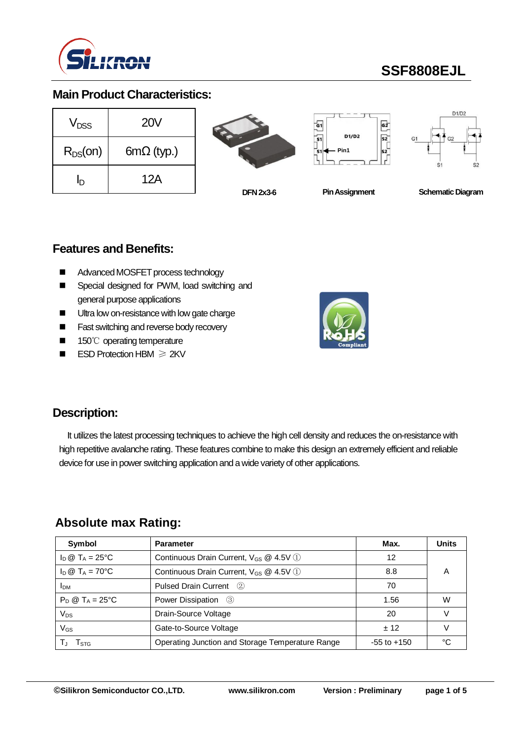

# **SSF8808EJL**

## **Main Product Characteristics:**

| <b>V<sub>DSS</sub></b> | 20V               |
|------------------------|-------------------|
| $R_{DS}(on)$           | $6m\Omega$ (typ.) |
| 'n                     | 12A               |







**DFN 2x3-6**

**Pin Assignment Schematic Diagram** 

### **Features and Benefits:**

- Advanced MOSFET process technology
- Special designed for PWM, load switching and general purpose applications
- Ultra low on-resistance with low gate charge
- Fast switching and reverse body recovery
- 150℃ operating temperature
- ESD Protection HBM ≥ 2KV



### **Description:**

It utilizes the latest processing techniques to achieve the high cell density and reduces the on-resistance with high repetitive avalanche rating. These features combine to make this design an extremely efficient and reliable device for use in power switching application and a wide variety of other applications.

### **Absolute max Rating:**

| Symbol                     | <b>Parameter</b>                                   | Max.            | <b>Units</b> |
|----------------------------|----------------------------------------------------|-----------------|--------------|
| $I_D @ T_A = 25$ °C        | Continuous Drain Current, $V_{GS}$ @ 4.5V (1)      | 12              |              |
| $I_D @ T_A = 70^{\circ}C$  | Continuous Drain Current, V <sub>GS</sub> @ 4.5V 1 | 8.8             | А            |
| <b>I</b> <sub>DM</sub>     | Pulsed Drain Current (2)                           | 70              |              |
| $P_D @ T_A = 25^{\circ}C$  | Power Dissipation (3)                              | 1.56            | W            |
| Vps                        | Drain-Source Voltage                               | 20              |              |
| $\mathsf{V}_{\mathsf{GS}}$ | Gate-to-Source Voltage                             | $+12$           |              |
| I STG                      | Operating Junction and Storage Temperature Range   | $-55$ to $+150$ | °∩           |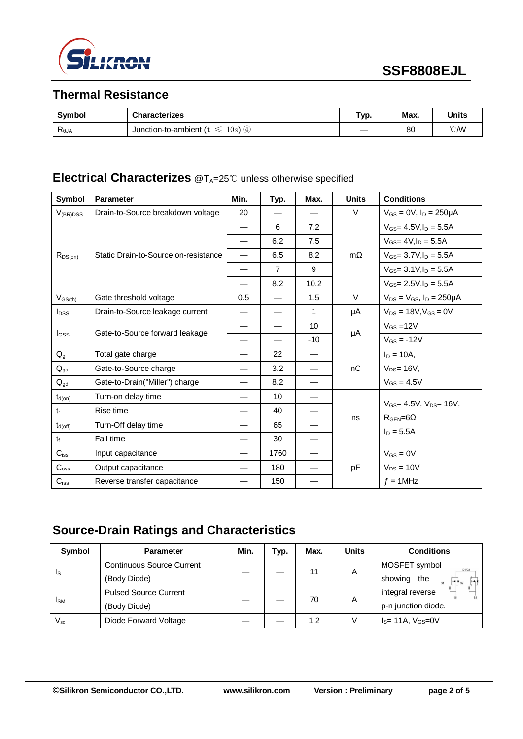

## **Thermal Resistance**

| <b>Symbol</b>  | <b>Characterizes</b>                 | Typ. | Max. | <b>Units</b>   |
|----------------|--------------------------------------|------|------|----------------|
| $R_{\theta$ JA | 10s<br>Junction-to-ambient (t)<br>∖⊕ |      | 80   | $^{\circ}$ CMV |

### **Electrical Characterizes** @T<sub>A</sub>=25℃ unless otherwise specified

| Symbol           | <b>Parameter</b>                     | Min.                     | Typ.           | Max.  | <b>Units</b> | <b>Conditions</b>                                                |
|------------------|--------------------------------------|--------------------------|----------------|-------|--------------|------------------------------------------------------------------|
| $V_{(BR)DSS}$    | Drain-to-Source breakdown voltage    | 20                       |                |       | $\vee$       | $V_{GS} = 0V$ , $I_D = 250 \mu A$                                |
|                  |                                      |                          | 6              | 7.2   |              | $V_{GS} = 4.5V, I_D = 5.5A$                                      |
|                  |                                      |                          | 6.2            | 7.5   |              | $V_{GS} = 4V I_D = 5.5A$                                         |
| $R_{DS(on)}$     | Static Drain-to-Source on-resistance | —                        | 6.5            | 8.2   | $m\Omega$    | $V_{GS}$ = 3.7V, $I_D$ = 5.5A                                    |
|                  |                                      |                          | $\overline{7}$ | 9     |              | $V_{GS}$ = 3.1V, $I_D$ = 5.5A                                    |
|                  |                                      |                          | 8.2            | 10.2  |              | $V_{GS}$ = 2.5V, $I_D$ = 5.5A                                    |
| $V_{GS(th)}$     | Gate threshold voltage               | 0.5                      |                | 1.5   | $\vee$       | $V_{DS} = V_{GS}$ , $I_D = 250 \mu A$                            |
| $I_{DSS}$        | Drain-to-Source leakage current      | $\overline{\phantom{0}}$ |                | 1     | μA           | $V_{DS} = 18V, V_{GS} = 0V$                                      |
|                  | Gate-to-Source forward leakage       | $\overline{\phantom{0}}$ |                | 10    |              | $V_{GS} = 12V$                                                   |
| <b>I</b> GSS     |                                      |                          |                | $-10$ | μA           | $V_{GS} = -12V$                                                  |
| $Q_{g}$          | Total gate charge                    |                          | 22             |       |              | $I_D = 10A$ ,                                                    |
| $Q_{gs}$         | Gate-to-Source charge                |                          | 3.2            |       | nC           | $V_{DS} = 16V$ ,                                                 |
| $Q_{gd}$         | Gate-to-Drain("Miller") charge       |                          | 8.2            |       |              | $V_{GS} = 4.5V$                                                  |
| $t_{d(on)}$      | Turn-on delay time                   |                          | 10             |       |              |                                                                  |
| $t_{r}$          | Rise time                            |                          | 40             |       | ns           | $V_{GS} = 4.5V$ , $V_{DS} = 16V$ ,<br>$R_{\text{GEN}} = 6\Omega$ |
| $t_{d(off)}$     | Turn-Off delay time                  |                          | 65             |       |              | $I_D = 5.5A$                                                     |
| t <sub>f</sub>   | Fall time                            |                          | 30             |       |              |                                                                  |
| $C_{iss}$        | Input capacitance                    |                          | 1760           |       |              | $V_{GS} = 0V$                                                    |
| $C_{\rm oss}$    | Output capacitance                   |                          | 180            |       | pF           | $V_{DS} = 10V$                                                   |
| $C_{\text{rss}}$ | Reverse transfer capacitance         |                          | 150            |       |              | $f = 1$ MHz                                                      |

## **Source-Drain Ratings and Characteristics**

| Symbol                 | <b>Parameter</b>                 | Min. | Typ. | Max. | <b>Units</b> | <b>Conditions</b>              |
|------------------------|----------------------------------|------|------|------|--------------|--------------------------------|
|                        | <b>Continuous Source Current</b> |      |      | 11   |              | MOSFET symbol<br>D1/D2         |
| Is                     | (Body Diode)                     |      |      |      | A            | showing<br>the<br>$\mathbf{G}$ |
|                        | <b>Pulsed Source Current</b>     |      |      | 70   |              | integral reverse               |
| <b>I</b> <sub>SM</sub> | (Body Diode)                     |      |      |      | A            | p-n junction diode.            |
| $V_{\textrm{SD}}$      | Diode Forward Voltage            |      |      | 1.2  |              | $I_s = 11A, V_{GS} = 0V$       |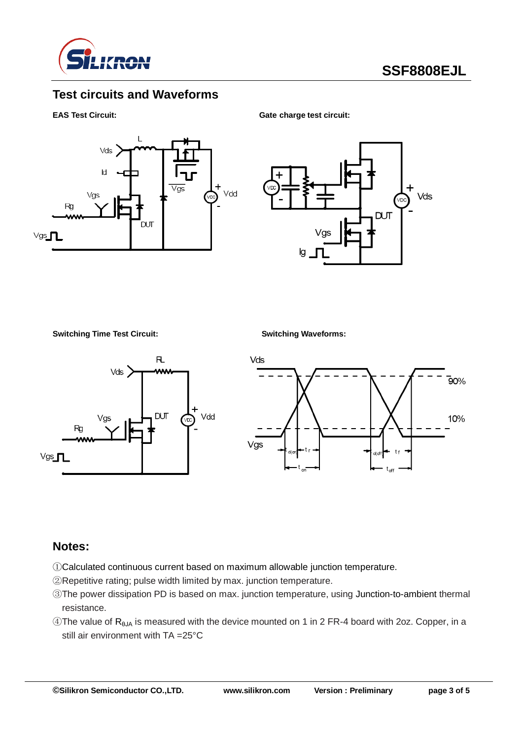

## **Test circuits and Waveforms**

**EAS Test Circuit:** Gate charge test circuit:





**Switching Time Test Circuit: Switching Waveforms:**





#### **Notes:**

- ①Calculated continuous current based on maximum allowable junction temperature.
- ②Repetitive rating; pulse width limited by max. junction temperature.
- ③The power dissipation PD is based on max. junction temperature, using Junction-to-ambient thermal resistance.
- $\circledA$ The value of R<sub>θJA</sub> is measured with the device mounted on 1 in 2 FR-4 board with 2oz. Copper, in a still air environment with TA =25°C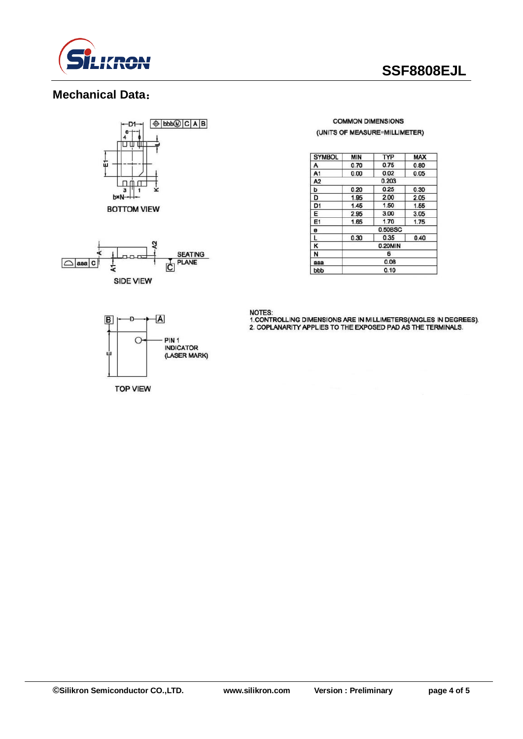

## **SSF8808EJL**

## **Mechanical Data**:





#### **COMMON DIMENSIONS** (UNITS OF MEASURE=MILLIMETER)

| <b>SYMBOL</b>  | <b>MIN</b> | <b>TYP</b> | <b>MAX</b> |  |  |
|----------------|------------|------------|------------|--|--|
| Α              | 0.70       | 0.75       | 0.80       |  |  |
| A <sub>1</sub> | 0.00       | 0.02       | 0.05       |  |  |
| A <sub>2</sub> | 0.203      |            |            |  |  |
| Þ              | 0.20       | 0.25       | 0.30       |  |  |
| D              | 1.95       | 2.00       | 2.05       |  |  |
| D <sub>1</sub> | 1.45       | 1.50       | 1.55       |  |  |
| Ε              | 2.95       | 3.00       | 3.05       |  |  |
| E1             | 1.65       | 1,70       | 1.75       |  |  |
| e              | 0.50BSC    |            |            |  |  |
| L              | 0.30       | 0.35       | 0.40       |  |  |
| κ              | 0.20MIN    |            |            |  |  |
| N              | 6          |            |            |  |  |
| aaa            | 0.08       |            |            |  |  |
| bbb            | 0.10       |            |            |  |  |

NOTES:<br>1.CONTROLLING DIMENSIONS ARE IN MILLIMETERS(ANGLES IN DEGREES).<br>2. COPLANARITY APPLIES TO THE EXPOSED PAD AS THE TERMINALS.



**TOP VIEW**